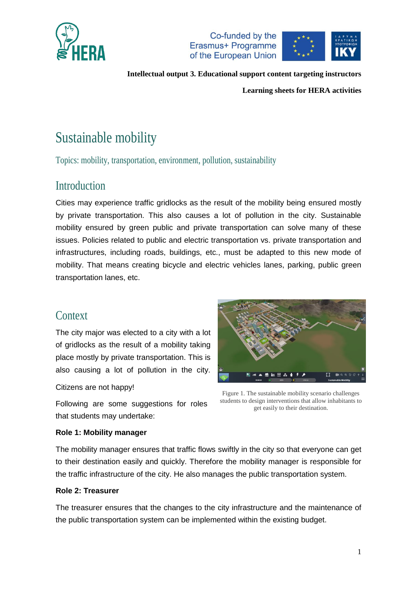



**Learning sheets for HERA activities**

# Sustainable mobility

Topics: mobility, transportation, environment, pollution, sustainability

### Introduction

Cities may experience traffic gridlocks as the result of the mobility being ensured mostly by private transportation. This also causes a lot of pollution in the city. Sustainable mobility ensured by green public and private transportation can solve many of these issues. Policies related to public and electric transportation vs. private transportation and infrastructures, including roads, buildings, etc., must be adapted to this new mode of mobility. That means creating bicycle and electric vehicles lanes, parking, public green transportation lanes, etc.

### Context

The city major was elected to a city with a lot of gridlocks as the result of a mobility taking place mostly by private transportation. This is also causing a lot of pollution in the city.

Citizens are not happy!

 $\mathbf{r}$ ● 展出音+

Following are some suggestions for roles that students may undertake:

Figure 1. The sustainable mobility scenario challenges students to design interventions that allow inhabitants to get easily to their destination.

### **Role 1: Mobility manager**

The mobility manager ensures that traffic flows swiftly in the city so that everyone can get to their destination easily and quickly. Therefore the mobility manager is responsible for the traffic infrastructure of the city. He also manages the public transportation system.

### **Role 2: Treasurer**

The treasurer ensures that the changes to the city infrastructure and the maintenance of the public transportation system can be implemented within the existing budget.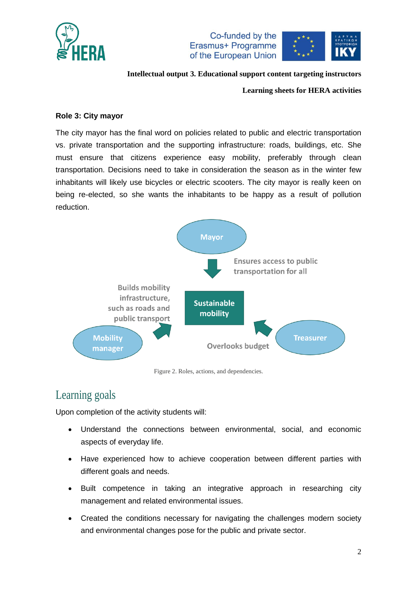





**Learning sheets for HERA activities**

### **Role 3: City mayor**

The city mayor has the final word on policies related to public and electric transportation vs. private transportation and the supporting infrastructure: roads, buildings, etc. She must ensure that citizens experience easy mobility, preferably through clean transportation. Decisions need to take in consideration the season as in the winter few inhabitants will likely use bicycles or electric scooters. The city mayor is really keen on being re-elected, so she wants the inhabitants to be happy as a result of pollution reduction.



Figure 2. Roles, actions, and dependencies.

## Learning goals

Upon completion of the activity students will:

- Understand the connections between environmental, social, and economic aspects of everyday life.
- Have experienced how to achieve cooperation between different parties with different goals and needs.
- Built competence in taking an integrative approach in researching city management and related environmental issues.
- Created the conditions necessary for navigating the challenges modern society and environmental changes pose for the public and private sector.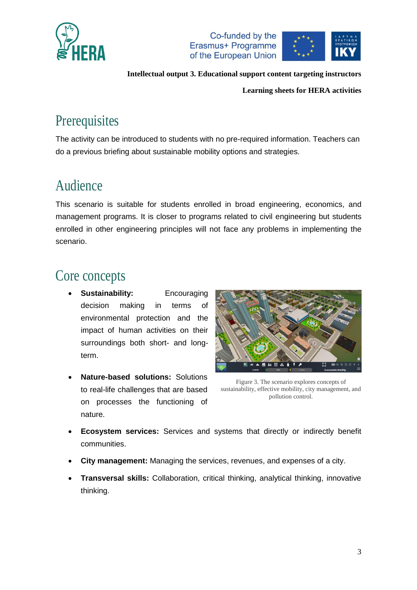



**Learning sheets for HERA activities**

# **Prerequisites**

The activity can be introduced to students with no pre-required information. Teachers can do a previous briefing about sustainable mobility options and strategies.

## Audience

This scenario is suitable for students enrolled in broad engineering, economics, and management programs. It is closer to programs related to civil engineering but students enrolled in other engineering principles will not face any problems in implementing the scenario.

## Core concepts

- **Sustainability:** Encouraging decision making in terms of environmental protection and the impact of human activities on their surroundings both short- and longterm.
- **Nature-based solutions:** Solutions to real-life challenges that are based on processes the functioning of nature.



Figure 3. The scenario explores concepts of sustainability, effective mobility, city management, and pollution control.

- **Ecosystem services:** Services and systems that directly or indirectly benefit communities.
- **City management:** Managing the services, revenues, and expenses of a city.
- **Transversal skills:** Collaboration, critical thinking, analytical thinking, innovative thinking.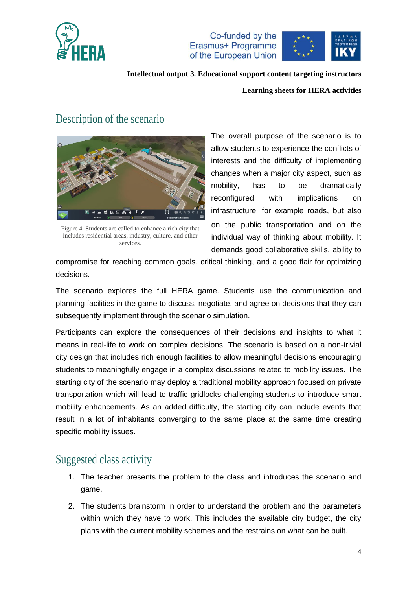

Co-funded by the Erasmus+ Programme of the European Union



#### **Intellectual output 3. Educational support content targeting instructors**

#### **Learning sheets for HERA activities**

### Description of the scenario



Figure 4. Students are called to enhance a rich city that includes residential areas, industry, culture, and other services.

The overall purpose of the scenario is to allow students to experience the conflicts of interests and the difficulty of implementing changes when a major city aspect, such as mobility, has to be dramatically reconfigured with implications on infrastructure, for example roads, but also on the public transportation and on the individual way of thinking about mobility. It demands good collaborative skills, ability to

compromise for reaching common goals, critical thinking, and a good flair for optimizing decisions.

The scenario explores the full HERA game. Students use the communication and planning facilities in the game to discuss, negotiate, and agree on decisions that they can subsequently implement through the scenario simulation.

Participants can explore the consequences of their decisions and insights to what it means in real-life to work on complex decisions. The scenario is based on a non-trivial city design that includes rich enough facilities to allow meaningful decisions encouraging students to meaningfully engage in a complex discussions related to mobility issues. The starting city of the scenario may deploy a traditional mobility approach focused on private transportation which will lead to traffic gridlocks challenging students to introduce smart mobility enhancements. As an added difficulty, the starting city can include events that result in a lot of inhabitants converging to the same place at the same time creating specific mobility issues.

### Suggested class activity

- 1. The teacher presents the problem to the class and introduces the scenario and game.
- 2. The students brainstorm in order to understand the problem and the parameters within which they have to work. This includes the available city budget, the city plans with the current mobility schemes and the restrains on what can be built.